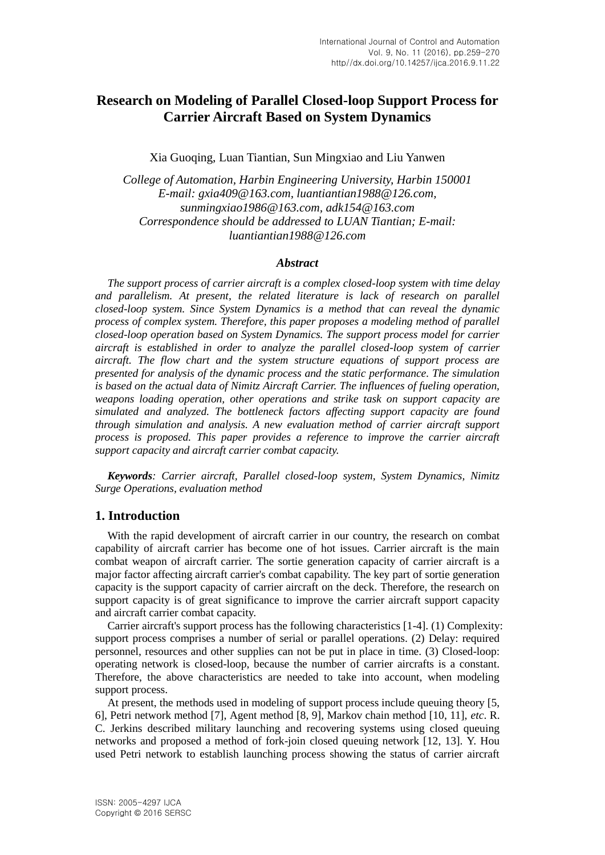# **Research on Modeling of Parallel Closed-loop Support Process for Carrier Aircraft Based on System Dynamics**

Xia Guoqing, Luan Tiantian, Sun Mingxiao and Liu Yanwen

*College of Automation, Harbin Engineering University, Harbin 150001 E-mail: gxia409@163.com, luantiantian1988@126.com, sunmingxiao1986@163.com, adk154@163.com Correspondence should be addressed to LUAN Tiantian; E-mail: luantiantian1988@126.com*

### *Abstract*

*The support process of carrier aircraft is a complex closed-loop system with time delay*  and parallelism. At present, the related literature is lack of research on parallel *closed-loop system. Since System Dynamics is a method that can reveal the dynamic process of complex system. Therefore, this paper proposes a modeling method of parallel closed-loop operation based on System Dynamics. The support process model for carrier aircraft is established in order to analyze the parallel closed-loop system of carrier aircraft. The flow chart and the system structure equations of support process are presented for analysis of the dynamic process and the static performance. The simulation is based on the actual data of Nimitz Aircraft Carrier. The influences of fueling operation, weapons loading operation, other operations and strike task on support capacity are simulated and analyzed. The bottleneck factors affecting support capacity are found through simulation and analysis. A new evaluation method of carrier aircraft support process is proposed. This paper provides a reference to improve the carrier aircraft support capacity and aircraft carrier combat capacity.*

*Keywords: Carrier aircraft, Parallel closed-loop system, System Dynamics, Nimitz Surge Operations, evaluation method*

## **1. Introduction**

With the rapid development of aircraft carrier in our country, the research on combat capability of aircraft carrier has become one of hot issues. Carrier aircraft is the main combat weapon of aircraft carrier. The sortie generation capacity of carrier aircraft is a major factor affecting aircraft carrier's combat capability. The key part of sortie generation capacity is the support capacity of carrier aircraft on the deck. Therefore, the research on support capacity is of great significance to improve the carrier aircraft support capacity and aircraft carrier combat capacity.

Carrier aircraft's support process has the following characteristics [1-4]. (1) Complexity: support process comprises a number of serial or parallel operations. (2) Delay: required personnel, resources and other supplies can not be put in place in time. (3) Closed-loop: operating network is closed-loop, because the number of carrier aircrafts is a constant. Therefore, the above characteristics are needed to take into account, when modeling support process.

At present, the methods used in modeling of support process include queuing theory [5, 6], Petri network method [7], Agent method [8, 9], Markov chain method [10, 11], *etc*. R. C. Jerkins described military launching and recovering systems using closed queuing networks and proposed a method of fork-join closed queuing network [12, 13]. Y. Hou used Petri network to establish launching process showing the status of carrier aircraft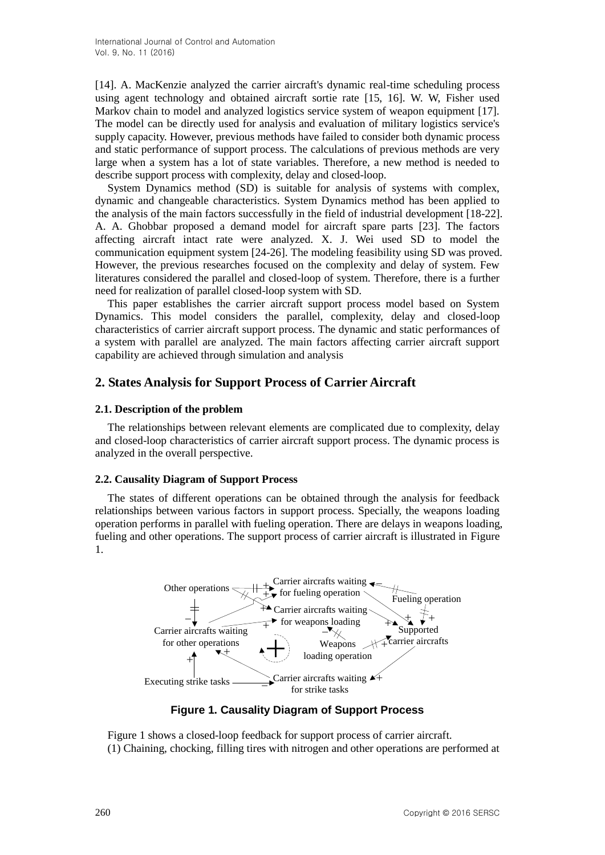[14]. A. MacKenzie analyzed the carrier aircraft's dynamic real-time scheduling process using agent technology and obtained aircraft sortie rate [15, 16]. W. W, Fisher used Markov chain to model and analyzed logistics service system of weapon equipment [17]. The model can be directly used for analysis and evaluation of military logistics service's supply capacity. However, previous methods have failed to consider both dynamic process and static performance of support process. The calculations of previous methods are very large when a system has a lot of state variables. Therefore, a new method is needed to describe support process with complexity, delay and closed-loop.

System Dynamics method (SD) is suitable for analysis of systems with complex, dynamic and changeable characteristics. System Dynamics method has been applied to the analysis of the main factors successfully in the field of industrial development [18-22]. A. A. Ghobbar proposed a demand model for aircraft spare parts [23]. The factors affecting aircraft intact rate were analyzed. X. J. Wei used SD to model the communication equipment system [24-26]. The modeling feasibility using SD was proved. However, the previous researches focused on the complexity and delay of system. Few literatures considered the parallel and closed-loop of system. Therefore, there is a further need for realization of parallel closed-loop system with SD.

This paper establishes the carrier aircraft support process model based on System Dynamics. This model considers the parallel, complexity, delay and closed-loop characteristics of carrier aircraft support process. The dynamic and static performances of a system with parallel are analyzed. The main factors affecting carrier aircraft support capability are achieved through simulation and analysis

## **2. States Analysis for Support Process of Carrier Aircraft**

## **2.1. Description of the problem**

The relationships between relevant elements are complicated due to complexity, delay and closed-loop characteristics of carrier aircraft support process. The dynamic process is analyzed in the overall perspective.

## **2.2. Causality Diagram of Support Process**

The states of different operations can be obtained through the analysis for feedback relationships between various factors in support process. Specially, the weapons loading operation performs in parallel with fueling operation. There are delays in weapons loading, fueling and other operations. The support process of carrier aircraft is illustrated in Figure 1.



**Figure 1. Causality Diagram of Support Process**

Figure 1 shows a closed-loop feedback for support process of carrier aircraft. (1) Chaining, chocking, filling tires with nitrogen and other operations are performed at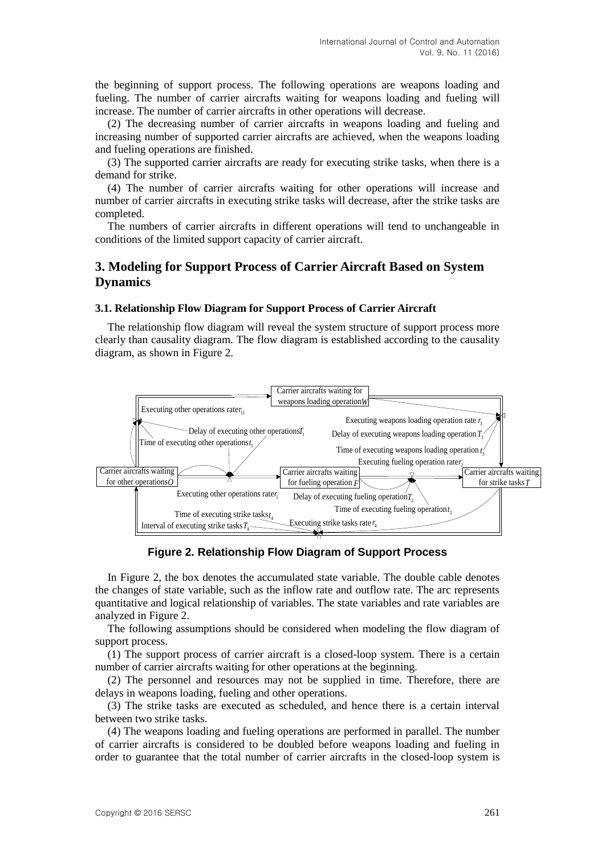the beginning of support process. The following operations are weapons loading and fueling. The number of carrier aircrafts waiting for weapons loading and fueling will increase. The number of carrier aircrafts in other operations will decrease.

(2) The decreasing number of carrier aircrafts in weapons loading and fueling and increasing number of supported carrier aircrafts are achieved, when the weapons loading and fueling operations are finished.

(3) The supported carrier aircrafts are ready for executing strike tasks, when there is a demand for strike.

(4) The number of carrier aircrafts waiting for other operations will increase and number of carrier aircrafts in executing strike tasks will decrease, after the strike tasks are completed.

The numbers of carrier aircrafts in different operations will tend to unchangeable in conditions of the limited support capacity of carrier aircraft.

## **3. Modeling for Support Process of Carrier Aircraft Based on System Dynamics**

#### **3.1. Relationship Flow Diagram for Support Process of Carrier Aircraft**

The relationship flow diagram will reveal the system structure of support process more clearly than causality diagram. The flow diagram is established according to the causality diagram, as shown in Figure 2.



**Figure 2. Relationship Flow Diagram of Support Process**

In Figure 2, the box denotes the accumulated state variable. The double cable denotes the changes of state variable, such as the inflow rate and outflow rate. The arc represents quantitative and logical relationship of variables. The state variables and rate variables are analyzed in Figure 2.

The following assumptions should be considered when modeling the flow diagram of support process.

(1) The support process of carrier aircraft is a closed-loop system. There is a certain number of carrier aircrafts waiting for other operations at the beginning.

(2) The personnel and resources may not be supplied in time. Therefore, there are delays in weapons loading, fueling and other operations.

(3) The strike tasks are executed as scheduled, and hence there is a certain interval between two strike tasks.

(4) The weapons loading and fueling operations are performed in parallel. The number of carrier aircrafts is considered to be doubled before weapons loading and fueling in order to guarantee that the total number of carrier aircrafts in the closed-loop system is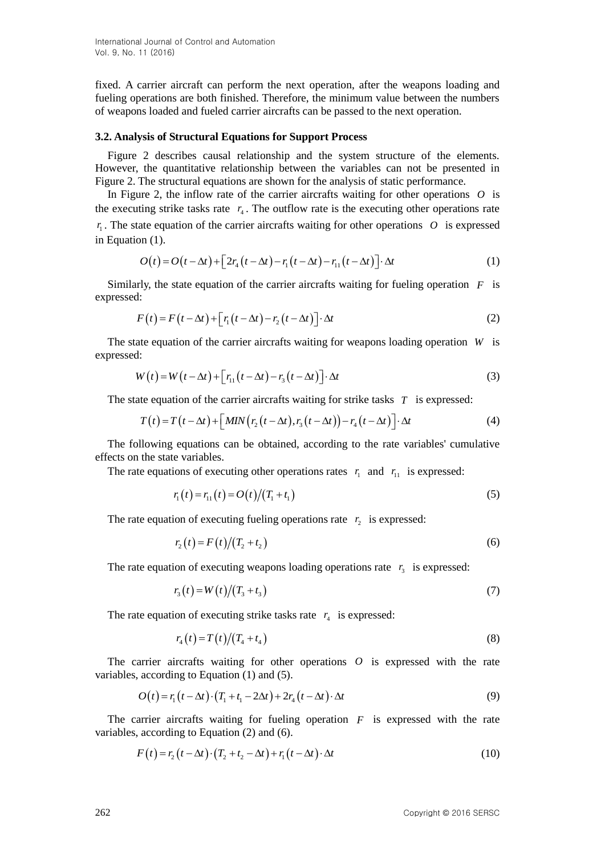fixed. A carrier aircraft can perform the next operation, after the weapons loading and fueling operations are both finished. Therefore, the minimum value between the numbers of weapons loaded and fueled carrier aircrafts can be passed to the next operation.

#### **3.2. Analysis of Structural Equations for Support Process**

Figure 2 describes causal relationship and the system structure of the elements. However, the quantitative relationship between the variables can not be presented in Figure 2. The structural equations are shown for the analysis of static performance.

In Figure 2, the inflow rate of the carrier aircrafts waiting for other operations  $O$  is the executing strike tasks rate  $r_4$ . The outflow rate is the executing other operations rate  $r_1$ . The state equation of the carrier aircrafts waiting for other operations  $O$  is expressed in Equation (1).

on (1).  
\n
$$
O(t) = O(t - \Delta t) + \left[2r_4(t - \Delta t) - r_1(t - \Delta t) - r_{11}(t - \Delta t)\right] \cdot \Delta t
$$
\n(1)

Similarly, the state equation of the carrier aircrafts waiting for fueling operation *F* is expressed:

$$
F(t) = F(t - \Delta t) + [r_1(t - \Delta t) - r_2(t - \Delta t)] \cdot \Delta t
$$
\n(2)

The state equation of the carrier aircrafts waiting for weapons loading operation *W* is expressed:

$$
W(t) = W(t - \Delta t) + [r_{11}(t - \Delta t) - r_3(t - \Delta t)] \cdot \Delta t
$$
\n(3)

The state equation of the carrier aircraft waiting for strike tasks 
$$
T
$$
 is expressed:  
\n
$$
T(t) = T(t - \Delta t) + \left[ MIN(r_2(t - \Delta t), r_3(t - \Delta t)) - r_4(t - \Delta t) \right] \cdot \Delta t
$$
\n(4)

The following equations can be obtained, according to the rate variables' cumulative effects on the state variables.

The rate equations of executing other operations rates  $r_1$  and  $r_{11}$  is expressed:

$$
r_1(t) = r_{11}(t) = O(t)/(T_1 + t_1)
$$
\n(5)

The rate equation of executing fueling operations rate  $r_2$  is expressed:

$$
r_2(t) = F(t)/(T_2 + t_2)
$$
\n(6)

The rate equation of executing weapons loading operations rate  $r_3$  is expressed:

$$
r_3(t) = W(t)/(T_3 + t_3)
$$
\n(7)

The rate equation of executing strike tasks rate  $r_4$  is expressed:

$$
r_4(t) = T(t)/(T_4 + t_4)
$$
\n(8)

The carrier aircrafts waiting for other operations  $O$  is expressed with the rate variables, according to Equation (1) and (5).

according to Equation (1) and (5).  
\n
$$
O(t) = r_1(t - \Delta t) \cdot (T_1 + t_1 - 2\Delta t) + 2r_4(t - \Delta t) \cdot \Delta t
$$
\n(9)

The carrier aircrafts waiting for fueling operation  $F$  is expressed with the rate variables, according to Equation (2) and (6).

, according to Equation (2) and (6).  
\n
$$
F(t) = r_2(t - \Delta t) \cdot (T_2 + t_2 - \Delta t) + r_1(t - \Delta t) \cdot \Delta t
$$
\n(10)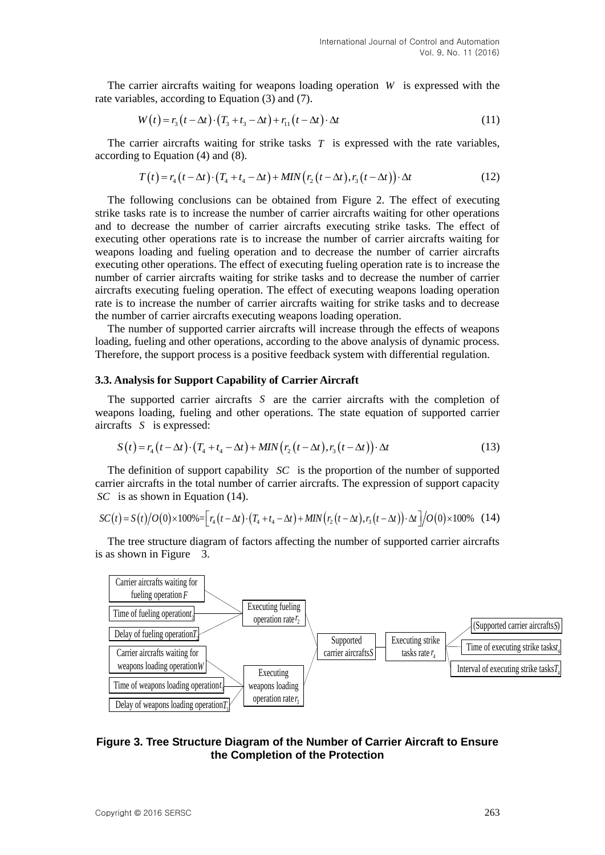The carrier aircrafts waiting for weapons loading operation *W* is expressed with the rate variables, according to Equation (3) and (7).

bles, according to Equation (3) and (7).

\n
$$
W(t) = r_3 \left( t - \Delta t \right) \cdot \left( T_3 + t_3 - \Delta t \right) + r_{11} \left( t - \Delta t \right) \cdot \Delta t \tag{11}
$$

The carrier aircrafts waiting for strike tasks  $T$  is expressed with the rate variables, according to Equation (4) and (8).

to Equation (4) and (8).  
\n
$$
T(t) = r_4(t - \Delta t) \cdot (T_4 + t_4 - \Delta t) + MIN(r_2(t - \Delta t), r_3(t - \Delta t)) \cdot \Delta t
$$
\n(12)

The following conclusions can be obtained from Figure 2. The effect of executing strike tasks rate is to increase the number of carrier aircrafts waiting for other operations and to decrease the number of carrier aircrafts executing strike tasks. The effect of executing other operations rate is to increase the number of carrier aircrafts waiting for weapons loading and fueling operation and to decrease the number of carrier aircrafts executing other operations. The effect of executing fueling operation rate is to increase the number of carrier aircrafts waiting for strike tasks and to decrease the number of carrier aircrafts executing fueling operation. The effect of executing weapons loading operation rate is to increase the number of carrier aircrafts waiting for strike tasks and to decrease the number of carrier aircrafts executing weapons loading operation.

The number of supported carrier aircrafts will increase through the effects of weapons loading, fueling and other operations, according to the above analysis of dynamic process. Therefore, the support process is a positive feedback system with differential regulation.

#### **3.3. Analysis for Support Capability of Carrier Aircraft**

The supported carrier aircrafts *S* are the carrier aircrafts with the completion of weapons loading, fueling and other operations. The state equation of supported carrier aircrafts *S* is expressed: afts *S* is expressed:<br>  $S(t) = r_4(t - \Delta t) \cdot (T_4 + t_4 - \Delta t) + MIN(r_2(t - \Delta t), r_3(t - \Delta t)) \cdot \Delta t$  (13)

$$
S(t) = r_4(t - \Delta t) \cdot (T_4 + t_4 - \Delta t) + MIN(r_2(t - \Delta t), r_3(t - \Delta t)) \cdot \Delta t
$$
\n(13)

The definition of support capability *SC* is the proportion of the number of supported carrier aircrafts in the total number of carrier aircrafts. The expression of support capacity *SC* is as shown in Equation (14).<br>  $SC(t) = S(t)/O(0) \times 100\% = \left[r_4(t-\Delta t) \cdot (T_4+t_4-\Delta t) + MIN(r_2(t-\Delta t), r_3(t-\Delta t)) \cdot \Delta t\right] / O(0) \times 100\%$  (14) *SC* is as shown in Equation (14).

$$
SC(t) = S(t)/O(0) \times 100\% = \Big[ r_4(t - \Delta t) \cdot (T_4 + t_4 - \Delta t) + MIN(r_2(t - \Delta t), r_3(t - \Delta t)) \cdot \Delta t \Big] / O(0) \times 100\% \quad (14)
$$

The tree structure diagram of factors affecting the number of supported carrier aircrafts is as shown in Figure 3.



## **Figure 3. Tree Structure Diagram of the Number of Carrier Aircraft to Ensure the Completion of the Protection**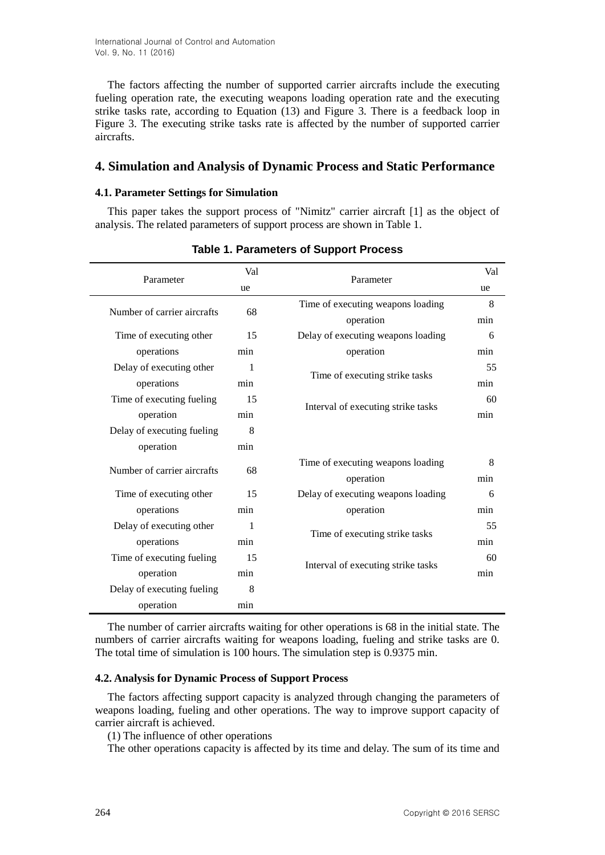International Journal of Control and Automation Vol. 9, No. 11 (2016)

The factors affecting the number of supported carrier aircrafts include the executing fueling operation rate, the executing weapons loading operation rate and the executing strike tasks rate, according to Equation (13) and Figure 3. There is a feedback loop in Figure 3. The executing strike tasks rate is affected by the number of supported carrier aircrafts.

## **4. Simulation and Analysis of Dynamic Process and Static Performance**

#### **4.1. Parameter Settings for Simulation**

This paper takes the support process of "Nimitz" carrier aircraft [1] as the object of analysis. The related parameters of support process are shown in Table 1.

| Parameter                   | Val | Parameter                          | Val |
|-----------------------------|-----|------------------------------------|-----|
|                             | ue  |                                    | ue  |
| Number of carrier aircrafts | 68  | Time of executing weapons loading  | 8   |
|                             |     | operation                          | min |
| Time of executing other     | 15  | Delay of executing weapons loading | 6   |
| operations                  | min | operation                          | min |
| Delay of executing other    | 1   |                                    | 55  |
| operations                  | min | Time of executing strike tasks     | min |
| Time of executing fueling   | 15  | Interval of executing strike tasks | 60  |
| operation                   | min |                                    | min |
| Delay of executing fueling  | 8   |                                    |     |
| operation                   | min |                                    |     |
| Number of carrier aircrafts | 68  | Time of executing weapons loading  | 8   |
|                             |     | operation                          | min |
| Time of executing other     | 15  | Delay of executing weapons loading | 6   |
| operations                  | min | operation                          | min |
| Delay of executing other    | 1   | Time of executing strike tasks     | 55  |
| operations                  | min |                                    | min |
| Time of executing fueling   | 15  | Interval of executing strike tasks | 60  |
| operation                   | min |                                    | min |
| Delay of executing fueling  | 8   |                                    |     |
| operation                   | min |                                    |     |

**Table 1. Parameters of Support Process**

The number of carrier aircrafts waiting for other operations is 68 in the initial state. The numbers of carrier aircrafts waiting for weapons loading, fueling and strike tasks are 0. The total time of simulation is 100 hours. The simulation step is 0.9375 min.

#### **4.2. Analysis for Dynamic Process of Support Process**

The factors affecting support capacity is analyzed through changing the parameters of weapons loading, fueling and other operations. The way to improve support capacity of carrier aircraft is achieved.

(1) The influence of other operations

The other operations capacity is affected by its time and delay. The sum of its time and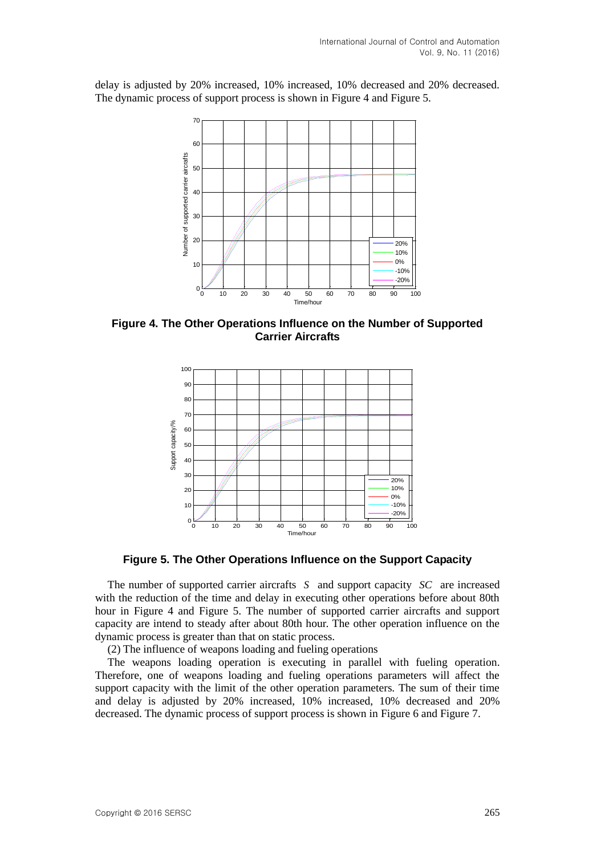delay is adjusted by 20% increased, 10% increased, 10% decreased and 20% decreased. The dynamic process of support process is shown in Figure 4 and Figure 5.



**Figure 4. The Other Operations Influence on the Number of Supported Carrier Aircrafts** 



**Figure 5. The Other Operations Influence on the Support Capacity**

The number of supported carrier aircrafts S and support capacity SC are increased with the reduction of the time and delay in executing other operations before about 80th hour in Figure 4 and Figure 5. The number of supported carrier aircrafts and support capacity are intend to steady after about 80th hour. The other operation influence on the dynamic process is greater than that on static process.

(2) The influence of weapons loading and fueling operations

The weapons loading operation is executing in parallel with fueling operation. Therefore, one of weapons loading and fueling operations parameters will affect the support capacity with the limit of the other operation parameters. The sum of their time and delay is adjusted by 20% increased, 10% increased, 10% decreased and 20% decreased. The dynamic process of support process is shown in Figure 6 and Figure 7.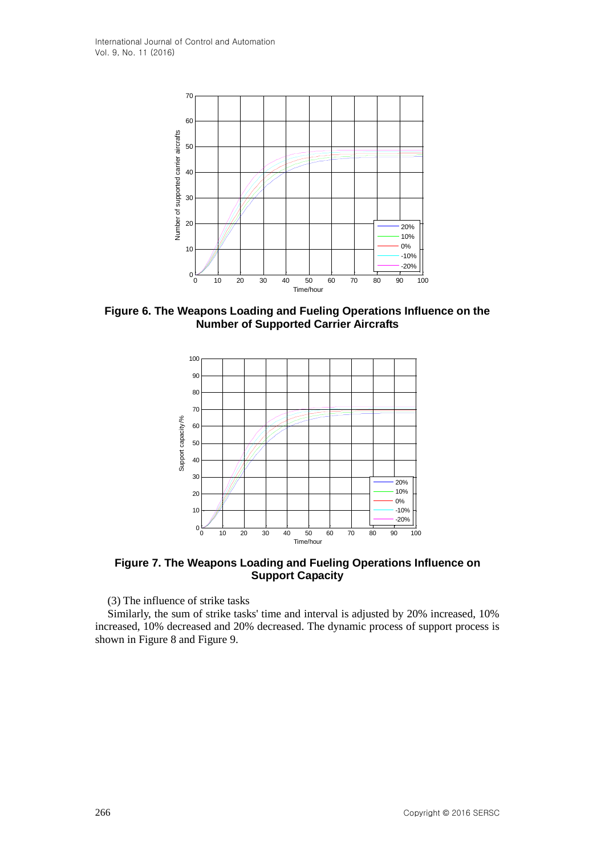

**Figure 6. The Weapons Loading and Fueling Operations Influence on the Number of Supported Carrier Aircrafts**



**Figure 7. The Weapons Loading and Fueling Operations Influence on Support Capacity**

(3) The influence of strike tasks

Similarly, the sum of strike tasks' time and interval is adjusted by 20% increased, 10% increased, 10% decreased and 20% decreased. The dynamic process of support process is shown in Figure 8 and Figure 9.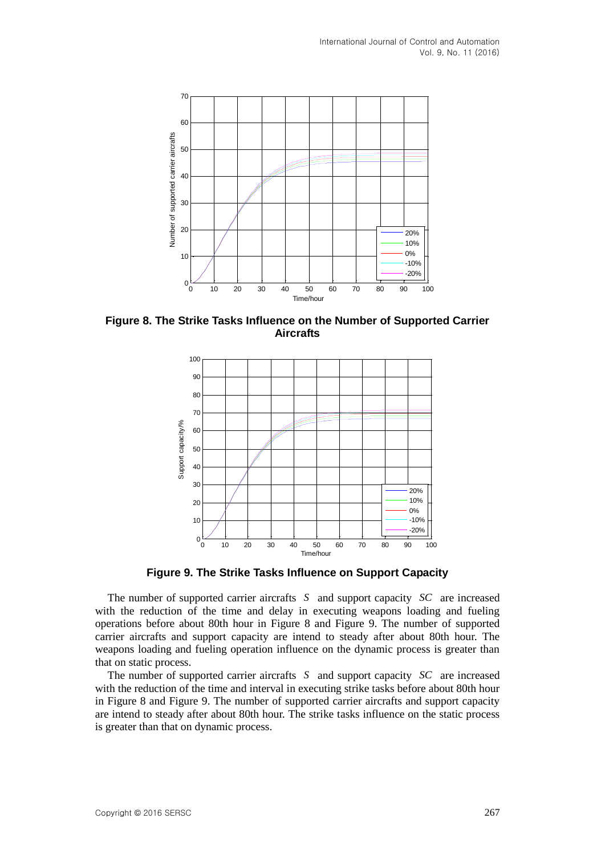

**Figure 8. The Strike Tasks Influence on the Number of Supported Carrier Aircrafts**



**Figure 9. The Strike Tasks Influence on Support Capacity**

The number of supported carrier aircrafts S and support capacity SC are increased with the reduction of the time and delay in executing weapons loading and fueling operations before about 80th hour in Figure 8 and Figure 9. The number of supported carrier aircrafts and support capacity are intend to steady after about 80th hour. The weapons loading and fueling operation influence on the dynamic process is greater than that on static process.

The number of supported carrier aircrafts S and support capacity SC are increased with the reduction of the time and interval in executing strike tasks before about 80th hour in Figure 8 and Figure 9. The number of supported carrier aircrafts and support capacity are intend to steady after about 80th hour. The strike tasks influence on the static process is greater than that on dynamic process.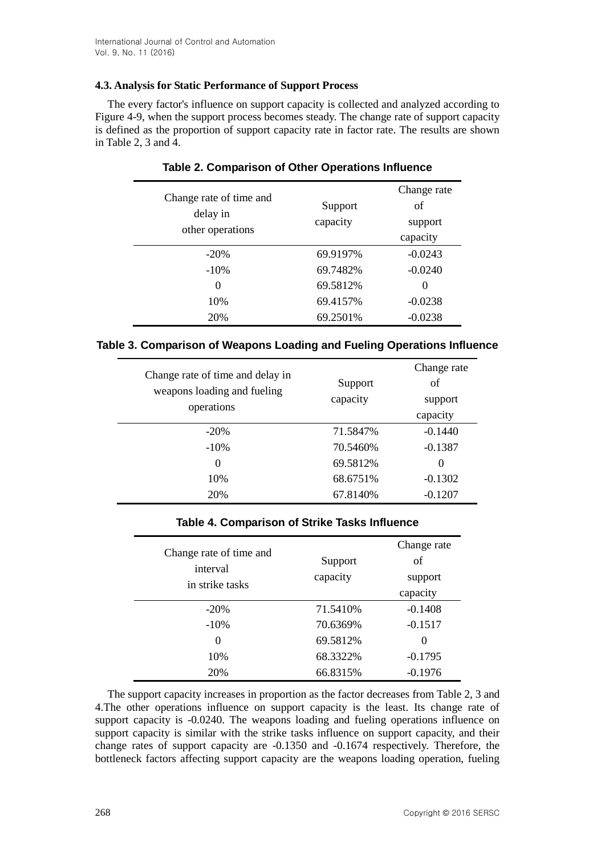## **4.3. Analysis for Static Performance of Support Process**

The every factor's influence on support capacity is collected and analyzed according to Figure 4-9, when the support process becomes steady. The change rate of support capacity is defined as the proportion of support capacity rate in factor rate. The results are shown in Table 2, 3 and  $\hat{4}$ .

| Change rate of time and<br>delay in<br>other operations | Support<br>capacity | Change rate<br>of<br>support<br>capacity |
|---------------------------------------------------------|---------------------|------------------------------------------|
| $-20%$                                                  | 69.9197%            | $-0.0243$                                |
| $-10%$                                                  | 69.7482%            | $-0.0240$                                |
| $\theta$                                                | 69.5812%            | $\Omega$                                 |
| 10%                                                     | 69.4157%            | $-0.0238$                                |
| 20%                                                     | 69.2501%            | $-0.0238$                                |

## **Table 2. Comparison of Other Operations Influence**

## **Table 3. Comparison of Weapons Loading and Fueling Operations Influence**

| Change rate of time and delay in |          | Change rate |
|----------------------------------|----------|-------------|
| weapons loading and fueling      | Support  | of          |
| operations                       | capacity | support     |
|                                  |          | capacity    |
| $-20%$                           | 71.5847% | $-0.1440$   |
| $-10%$                           | 70.5460% | $-0.1387$   |
| 0                                | 69.5812% | $\Omega$    |
| 10%                              | 68.6751% | $-0.1302$   |
| 20%                              | 67.8140% | $-0.1207$   |

## **Table 4. Comparison of Strike Tasks Influence**

| Change rate of time and<br>interval<br>in strike tasks | Support<br>capacity | Change rate<br>of<br>support<br>capacity |
|--------------------------------------------------------|---------------------|------------------------------------------|
| $-20%$                                                 | 71.5410\%           | $-0.1408$                                |
| $-10\%$                                                | 70.6369%            | $-0.1517$                                |
| $\theta$                                               | 69.5812%            | $\Omega$                                 |
| 10%                                                    | 68.3322%            | $-0.1795$                                |
| 20%                                                    | 66.8315%            | $-0.1976$                                |

The support capacity increases in proportion as the factor decreases from Table 2, 3 and 4.The other operations influence on support capacity is the least. Its change rate of support capacity is -0.0240. The weapons loading and fueling operations influence on support capacity is similar with the strike tasks influence on support capacity, and their change rates of support capacity are -0.1350 and -0.1674 respectively. Therefore, the bottleneck factors affecting support capacity are the weapons loading operation, fueling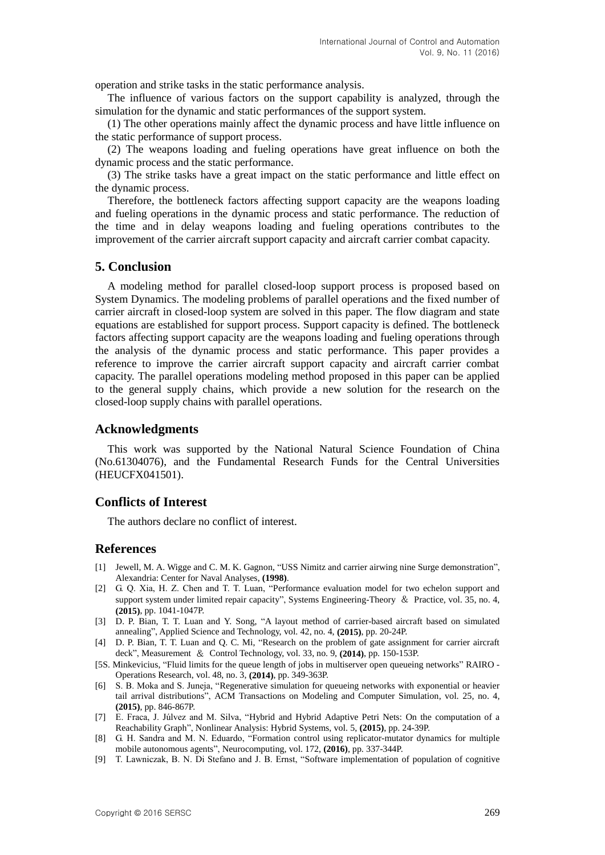operation and strike tasks in the static performance analysis.

The influence of various factors on the support capability is analyzed, through the simulation for the dynamic and static performances of the support system.

(1) The other operations mainly affect the dynamic process and have little influence on the static performance of support process.

(2) The weapons loading and fueling operations have great influence on both the dynamic process and the static performance.

(3) The strike tasks have a great impact on the static performance and little effect on the dynamic process.

Therefore, the bottleneck factors affecting support capacity are the weapons loading and fueling operations in the dynamic process and static performance. The reduction of the time and in delay weapons loading and fueling operations contributes to the improvement of the carrier aircraft support capacity and aircraft carrier combat capacity.

## **5. Conclusion**

A modeling method for parallel closed-loop support process is proposed based on System Dynamics. The modeling problems of parallel operations and the fixed number of carrier aircraft in closed-loop system are solved in this paper. The flow diagram and state equations are established for support process. Support capacity is defined. The bottleneck factors affecting support capacity are the weapons loading and fueling operations through the analysis of the dynamic process and static performance. This paper provides a reference to improve the carrier aircraft support capacity and aircraft carrier combat capacity. The parallel operations modeling method proposed in this paper can be applied to the general supply chains, which provide a new solution for the research on the closed-loop supply chains with parallel operations.

#### **Acknowledgments**

This work was supported by the National Natural Science Foundation of China (No.61304076), and the Fundamental Research Funds for the Central Universities (HEUCFX041501).

## **Conflicts of Interest**

The authors declare no conflict of interest.

#### **References**

- [1] Jewell, M. A. Wigge and C. M. K. Gagnon, "USS Nimitz and carrier airwing nine Surge demonstration", Alexandria: Center for Naval Analyses, **(1998)**.
- [2] G. Q. Xia, H. Z. Chen and T. T. Luan, "Performance evaluation model for two echelon support and support system under limited repair capacity", Systems Engineering-Theory & Practice, vol. 35, no. 4, **(2015)**, pp. 1041-1047P.
- [3] D. P. Bian, T. T. Luan and Y. Song, "A layout method of carrier-based aircraft based on simulated annealing", Applied Science and Technology, vol. 42, no. 4, **(2015)**, pp. 20-24P.
- [4] D. P. Bian, T. T. Luan and Q. C. Mi, "Research on the problem of gate assignment for carrier aircraft deck", Measurement & Control Technology, vol. 33, no. 9, **(2014)**, pp. 150-153P.
- [5S. Minkevicius, "Fluid limits for the queue length of jobs in multiserver open queueing networks" RAIRO Operations Research, vol. 48, no. 3, **(2014)**, pp. 349-363P.
- [6] S. B. Moka and S. Juneja, "Regenerative simulation for queueing networks with exponential or heavier tail arrival distributions", ACM Transactions on Modeling and Computer Simulation, vol. 25, no. 4, **(2015)**, pp. 846-867P.
- [7] E. Fraca, J. Júlvez and M. Silva, "Hybrid and Hybrid Adaptive Petri Nets: On the computation of a Reachability Graph", Nonlinear Analysis: Hybrid Systems, vol. 5, **(2015)**, pp. 24-39P.
- [8] G. H. Sandra and M. N. Eduardo, "Formation control using replicator-mutator dynamics for multiple mobile autonomous agents", Neurocomputing, vol. 172, **(2016)**, pp. 337-344P.
- [9] T. Lawniczak, B. N. Di Stefano and J. B. Ernst, "Software implementation of population of cognitive